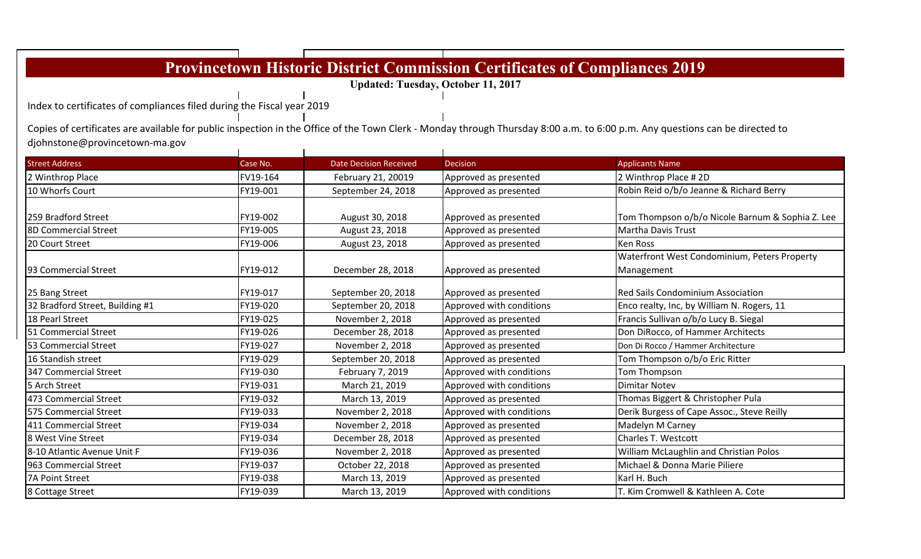## **Provincetown Historic District Commission Certificates of Compliances 2019**

**Updated: Tuesday, October 11, 2017**

Index to certificates of compliances filed during the Fiscal year 2019

Copies of certificates are available for public inspection in the Office of the Town Clerk ‐ Monday through Thursday 8:00 a.m. to 6:00 p.m. Any questions can be directed to djohnstone@provincetown‐ma.gov $\mathbf{L}$  $\mathbf{I}$  $\mathbf{I}$ 

| <b>Street Address</b>           | Case No. | <b>Date Decision Received</b> | <b>Decision</b>          | <b>Applicants Name</b>                           |
|---------------------------------|----------|-------------------------------|--------------------------|--------------------------------------------------|
| 2 Winthrop Place                | FV19-164 | February 21, 20019            | Approved as presented    | 2 Winthrop Place #2D                             |
| 10 Whorfs Court                 | FY19-001 | September 24, 2018            | Approved as presented    | Robin Reid o/b/o Jeanne & Richard Berry          |
|                                 |          |                               |                          |                                                  |
| 259 Bradford Street             | FY19-002 | August 30, 2018               | Approved as presented    | Tom Thompson o/b/o Nicole Barnum & Sophia Z. Lee |
| 8D Commercial Street            | FY19-005 | August 23, 2018               | Approved as presented    | <b>Martha Davis Trust</b>                        |
| 20 Court Street                 | FY19-006 | August 23, 2018               | Approved as presented    | <b>Ken Ross</b>                                  |
|                                 |          |                               |                          | Waterfront West Condominium, Peters Property     |
| 93 Commercial Street            | FY19-012 | December 28, 2018             | Approved as presented    | Management                                       |
| 25 Bang Street                  | FY19-017 | September 20, 2018            | Approved as presented    | Red Sails Condominium Association                |
| 32 Bradford Street, Building #1 | FY19-020 | September 20, 2018            | Approved with conditions | Enco realty, Inc, by William N. Rogers, 11       |
| 18 Pearl Street                 | FY19-025 | November 2, 2018              | Approved as presented    | Francis Sullivan o/b/o Lucy B. Siegal            |
| 51 Commercial Street            | FY19-026 | December 28, 2018             | Approved as presented    | Don DiRocco, of Hammer Architects                |
| 53 Commercial Street            | FY19-027 | November 2, 2018              | Approved as presented    | Don Di Rocco / Hammer Architecture               |
| 16 Standish street              | FY19-029 | September 20, 2018            | Approved as presented    | Tom Thompson o/b/o Eric Ritter                   |
| 347 Commercial Street           | FY19-030 | February 7, 2019              | Approved with conditions | Tom Thompson                                     |
| 5 Arch Street                   | FY19-031 | March 21, 2019                | Approved with conditions | <b>Dimitar Notev</b>                             |
| 473 Commercial Street           | FY19-032 | March 13, 2019                | Approved as presented    | Thomas Biggert & Christopher Pula                |
| <b>575 Commercial Street</b>    | FY19-033 | November 2, 2018              | Approved with conditions | Derik Burgess of Cape Assoc., Steve Reilly       |
| 411 Commercial Street           | FY19-034 | November 2, 2018              | Approved as presented    | Madelyn M Carney                                 |
| 8 West Vine Street              | FY19-034 | December 28, 2018             | Approved as presented    | Charles T. Westcott                              |
| 8-10 Atlantic Avenue Unit F     | FY19-036 | November 2, 2018              | Approved as presented    | William McLaughlin and Christian Polos           |
| 963 Commercial Street           | FY19-037 | October 22, 2018              | Approved as presented    | Michael & Donna Marie Piliere                    |
| 7A Point Street                 | FY19-038 | March 13, 2019                | Approved as presented    | Karl H. Buch                                     |
| 8 Cottage Street                | FY19-039 | March 13, 2019                | Approved with conditions | T. Kim Cromwell & Kathleen A. Cote               |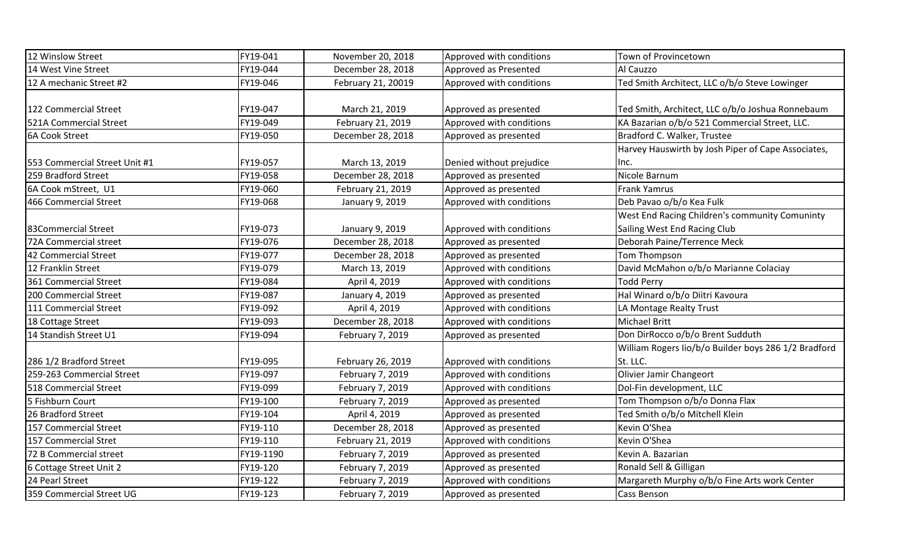| 12 Winslow Street             | FY19-041  | November 20, 2018  | Approved with conditions | Town of Provincetown                                 |
|-------------------------------|-----------|--------------------|--------------------------|------------------------------------------------------|
| 14 West Vine Street           | FY19-044  | December 28, 2018  | Approved as Presented    | Al Cauzzo                                            |
| 12 A mechanic Street #2       | FY19-046  | February 21, 20019 | Approved with conditions | Ted Smith Architect, LLC o/b/o Steve Lowinger        |
|                               |           |                    |                          |                                                      |
| 122 Commercial Street         | FY19-047  | March 21, 2019     | Approved as presented    | Ted Smith, Architect, LLC o/b/o Joshua Ronnebaum     |
| 521A Commercial Street        | FY19-049  | February 21, 2019  | Approved with conditions | KA Bazarian o/b/o 521 Commercial Street, LLC.        |
| <b>6A Cook Street</b>         | FY19-050  | December 28, 2018  | Approved as presented    | Bradford C. Walker, Trustee                          |
|                               |           |                    |                          | Harvey Hauswirth by Josh Piper of Cape Associates,   |
| 553 Commercial Street Unit #1 | FY19-057  | March 13, 2019     | Denied without prejudice | Inc.                                                 |
| 259 Bradford Street           | FY19-058  | December 28, 2018  | Approved as presented    | Nicole Barnum                                        |
| 6A Cook mStreet, U1           | FY19-060  | February 21, 2019  | Approved as presented    | <b>Frank Yamrus</b>                                  |
| 466 Commercial Street         | FY19-068  | January 9, 2019    | Approved with conditions | Deb Pavao o/b/o Kea Fulk                             |
|                               |           |                    |                          | West End Racing Children's community Comuninty       |
| 83Commercial Street           | FY19-073  | January 9, 2019    | Approved with conditions | Sailing West End Racing Club                         |
| 72A Commercial street         | FY19-076  | December 28, 2018  | Approved as presented    | Deborah Paine/Terrence Meck                          |
| 42 Commercial Street          | FY19-077  | December 28, 2018  | Approved as presented    | Tom Thompson                                         |
| 12 Franklin Street            | FY19-079  | March 13, 2019     | Approved with conditions | David McMahon o/b/o Marianne Colaciay                |
| 361 Commercial Street         | FY19-084  | April 4, 2019      | Approved with conditions | <b>Todd Perry</b>                                    |
| 200 Commercial Street         | FY19-087  | January 4, 2019    | Approved as presented    | Hal Winard o/b/o Diitri Kavoura                      |
| 111 Commercial Street         | FY19-092  | April 4, 2019      | Approved with conditions | LA Montage Realty Trust                              |
| 18 Cottage Street             | FY19-093  | December 28, 2018  | Approved with conditions | <b>Michael Britt</b>                                 |
| 14 Standish Street U1         | FY19-094  | February 7, 2019   | Approved as presented    | Don DirRocco o/b/o Brent Sudduth                     |
|                               |           |                    |                          | William Rogers lio/b/o Builder boys 286 1/2 Bradford |
| 286 1/2 Bradford Street       | FY19-095  | February 26, 2019  | Approved with conditions | St. LLC.                                             |
| 259-263 Commercial Street     | FY19-097  | February 7, 2019   | Approved with conditions | Olivier Jamir Changeort                              |
| 518 Commercial Street         | FY19-099  | February 7, 2019   | Approved with conditions | Dol-Fin development, LLC                             |
| 5 Fishburn Court              | FY19-100  | February 7, 2019   | Approved as presented    | Tom Thompson o/b/o Donna Flax                        |
| 26 Bradford Street            | FY19-104  | April 4, 2019      | Approved as presented    | Ted Smith o/b/o Mitchell Klein                       |
| 157 Commercial Street         | FY19-110  | December 28, 2018  | Approved as presented    | Kevin O'Shea                                         |
| 157 Commercial Stret          | FY19-110  | February 21, 2019  | Approved with conditions | Kevin O'Shea                                         |
| 72 B Commercial street        | FY19-1190 | February 7, 2019   | Approved as presented    | Kevin A. Bazarian                                    |
| 6 Cottage Street Unit 2       | FY19-120  | February 7, 2019   | Approved as presented    | Ronald Sell & Gilligan                               |
| 24 Pearl Street               | FY19-122  | February 7, 2019   | Approved with conditions | Margareth Murphy o/b/o Fine Arts work Center         |
| 359 Commercial Street UG      | FY19-123  | February 7, 2019   | Approved as presented    | <b>Cass Benson</b>                                   |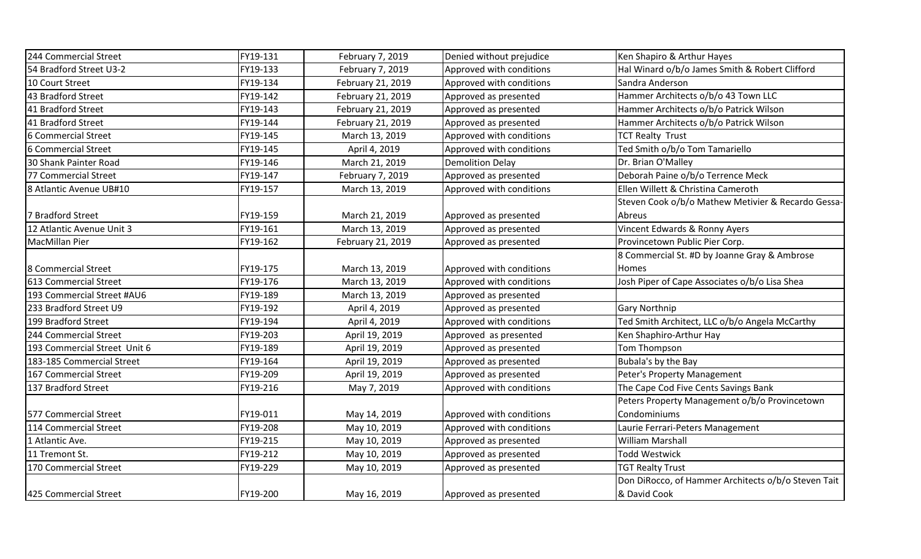| 244 Commercial Street        | FY19-131 | February 7, 2019  | Denied without prejudice | Ken Shapiro & Arthur Hayes                          |
|------------------------------|----------|-------------------|--------------------------|-----------------------------------------------------|
| 54 Bradford Street U3-2      | FY19-133 | February 7, 2019  | Approved with conditions | Hal Winard o/b/o James Smith & Robert Clifford      |
| 10 Court Street              | FY19-134 | February 21, 2019 | Approved with conditions | Sandra Anderson                                     |
| 43 Bradford Street           | FY19-142 | February 21, 2019 | Approved as presented    | Hammer Architects o/b/o 43 Town LLC                 |
| 41 Bradford Street           | FY19-143 | February 21, 2019 | Approved as presented    | Hammer Architects o/b/o Patrick Wilson              |
| 41 Bradford Street           | FY19-144 | February 21, 2019 | Approved as presented    | Hammer Architects o/b/o Patrick Wilson              |
| 6 Commercial Street          | FY19-145 | March 13, 2019    | Approved with conditions | <b>TCT Realty Trust</b>                             |
| 6 Commercial Street          | FY19-145 | April 4, 2019     | Approved with conditions | Ted Smith o/b/o Tom Tamariello                      |
| 30 Shank Painter Road        | FY19-146 | March 21, 2019    | <b>Demolition Delay</b>  | Dr. Brian O'Malley                                  |
| 77 Commercial Street         | FY19-147 | February 7, 2019  | Approved as presented    | Deborah Paine o/b/o Terrence Meck                   |
| 8 Atlantic Avenue UB#10      | FY19-157 | March 13, 2019    | Approved with conditions | Ellen Willett & Christina Cameroth                  |
|                              |          |                   |                          | Steven Cook o/b/o Mathew Metivier & Recardo Gessa-  |
| 7 Bradford Street            | FY19-159 | March 21, 2019    | Approved as presented    | Abreus                                              |
| 12 Atlantic Avenue Unit 3    | FY19-161 | March 13, 2019    | Approved as presented    | Vincent Edwards & Ronny Ayers                       |
| <b>MacMillan Pier</b>        | FY19-162 | February 21, 2019 | Approved as presented    | Provincetown Public Pier Corp.                      |
|                              |          |                   |                          | 8 Commercial St. #D by Joanne Gray & Ambrose        |
| 8 Commercial Street          | FY19-175 | March 13, 2019    | Approved with conditions | Homes                                               |
| 613 Commercial Street        | FY19-176 | March 13, 2019    | Approved with conditions | Josh Piper of Cape Associates o/b/o Lisa Shea       |
| 193 Commercial Street #AU6   | FY19-189 | March 13, 2019    | Approved as presented    |                                                     |
| 233 Bradford Street U9       | FY19-192 | April 4, 2019     | Approved as presented    | <b>Gary Northnip</b>                                |
| 199 Bradford Street          | FY19-194 | April 4, 2019     | Approved with conditions | Ted Smith Architect, LLC o/b/o Angela McCarthy      |
| 244 Commercial Street        | FY19-203 | April 19, 2019    | Approved as presented    | Ken Shaphiro-Arthur Hay                             |
| 193 Commercial Street Unit 6 | FY19-189 | April 19, 2019    | Approved as presented    | Tom Thompson                                        |
| 183-185 Commercial Street    | FY19-164 | April 19, 2019    | Approved as presented    | Bubala's by the Bay                                 |
| 167 Commercial Street        | FY19-209 | April 19, 2019    | Approved as presented    | Peter's Property Management                         |
| 137 Bradford Street          | FY19-216 | May 7, 2019       | Approved with conditions | The Cape Cod Five Cents Savings Bank                |
|                              |          |                   |                          | Peters Property Management o/b/o Provincetown       |
| 577 Commercial Street        | FY19-011 | May 14, 2019      | Approved with conditions | Condominiums                                        |
| 114 Commercial Street        | FY19-208 | May 10, 2019      | Approved with conditions | Laurie Ferrari-Peters Management                    |
| 1 Atlantic Ave.              | FY19-215 | May 10, 2019      | Approved as presented    | <b>William Marshall</b>                             |
| 11 Tremont St.               | FY19-212 | May 10, 2019      | Approved as presented    | Todd Westwick                                       |
| 170 Commercial Street        | FY19-229 | May 10, 2019      | Approved as presented    | <b>TGT Realty Trust</b>                             |
|                              |          |                   |                          | Don DiRocco, of Hammer Architects o/b/o Steven Tait |
| 425 Commercial Street        | FY19-200 | May 16, 2019      | Approved as presented    | & David Cook                                        |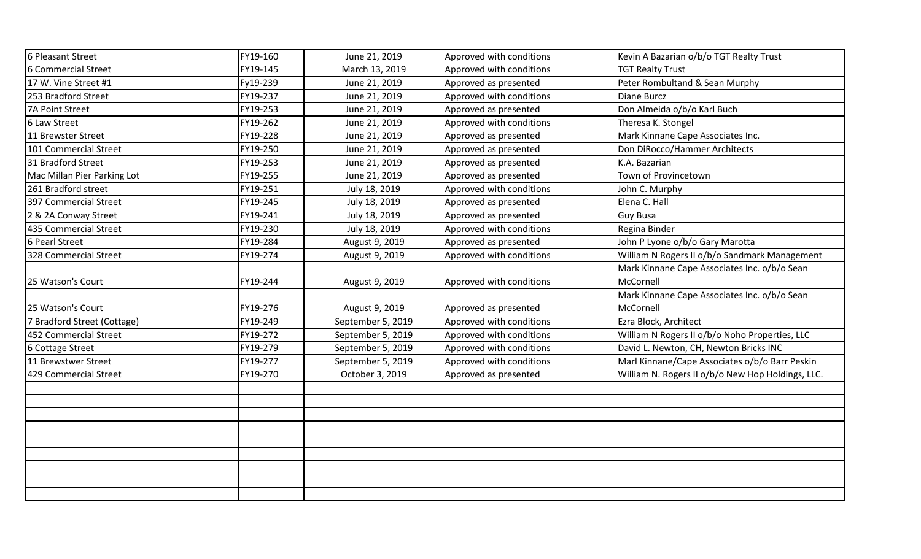| 6 Pleasant Street           | FY19-160 | June 21, 2019     | Approved with conditions | Kevin A Bazarian o/b/o TGT Realty Trust           |
|-----------------------------|----------|-------------------|--------------------------|---------------------------------------------------|
| 6 Commercial Street         | FY19-145 | March 13, 2019    | Approved with conditions | <b>TGT Realty Trust</b>                           |
| 17 W. Vine Street #1        | Fy19-239 | June 21, 2019     | Approved as presented    | Peter Rombultand & Sean Murphy                    |
| 253 Bradford Street         | FY19-237 | June 21, 2019     | Approved with conditions | Diane Burcz                                       |
| 7A Point Street             | FY19-253 | June 21, 2019     | Approved as presented    | Don Almeida o/b/o Karl Buch                       |
| 6 Law Street                | FY19-262 | June 21, 2019     | Approved with conditions | Theresa K. Stongel                                |
| 11 Brewster Street          | FY19-228 | June 21, 2019     | Approved as presented    | Mark Kinnane Cape Associates Inc.                 |
| 101 Commercial Street       | FY19-250 | June 21, 2019     | Approved as presented    | Don DiRocco/Hammer Architects                     |
| 31 Bradford Street          | FY19-253 | June 21, 2019     | Approved as presented    | K.A. Bazarian                                     |
| Mac Millan Pier Parking Lot | FY19-255 | June 21, 2019     | Approved as presented    | Town of Provincetown                              |
| 261 Bradford street         | FY19-251 | July 18, 2019     | Approved with conditions | John C. Murphy                                    |
| 397 Commercial Street       | FY19-245 | July 18, 2019     | Approved as presented    | Elena C. Hall                                     |
| 2 & 2A Conway Street        | FY19-241 | July 18, 2019     | Approved as presented    | <b>Guy Busa</b>                                   |
| 435 Commercial Street       | FY19-230 | July 18, 2019     | Approved with conditions | Regina Binder                                     |
| 6 Pearl Street              | FY19-284 | August 9, 2019    | Approved as presented    | John P Lyone o/b/o Gary Marotta                   |
| 328 Commercial Street       | FY19-274 | August 9, 2019    | Approved with conditions | William N Rogers II o/b/o Sandmark Management     |
|                             |          |                   |                          | Mark Kinnane Cape Associates Inc. o/b/o Sean      |
| 25 Watson's Court           | FY19-244 | August 9, 2019    | Approved with conditions | McCornell                                         |
|                             |          |                   |                          | Mark Kinnane Cape Associates Inc. o/b/o Sean      |
| 25 Watson's Court           | FY19-276 | August 9, 2019    | Approved as presented    | McCornell                                         |
| 7 Bradford Street (Cottage) | FY19-249 | September 5, 2019 | Approved with conditions | Ezra Block, Architect                             |
| 452 Commercial Street       | FY19-272 | September 5, 2019 | Approved with conditions | William N Rogers II o/b/o Noho Properties, LLC    |
| 6 Cottage Street            | FY19-279 | September 5, 2019 | Approved with conditions | David L. Newton, CH, Newton Bricks INC            |
| 11 Brewstwer Street         | FY19-277 | September 5, 2019 | Approved with conditions | Marl Kinnane/Cape Associates o/b/o Barr Peskin    |
| 429 Commercial Street       | FY19-270 | October 3, 2019   | Approved as presented    | William N. Rogers II o/b/o New Hop Holdings, LLC. |
|                             |          |                   |                          |                                                   |
|                             |          |                   |                          |                                                   |
|                             |          |                   |                          |                                                   |
|                             |          |                   |                          |                                                   |
|                             |          |                   |                          |                                                   |
|                             |          |                   |                          |                                                   |
|                             |          |                   |                          |                                                   |
|                             |          |                   |                          |                                                   |
|                             |          |                   |                          |                                                   |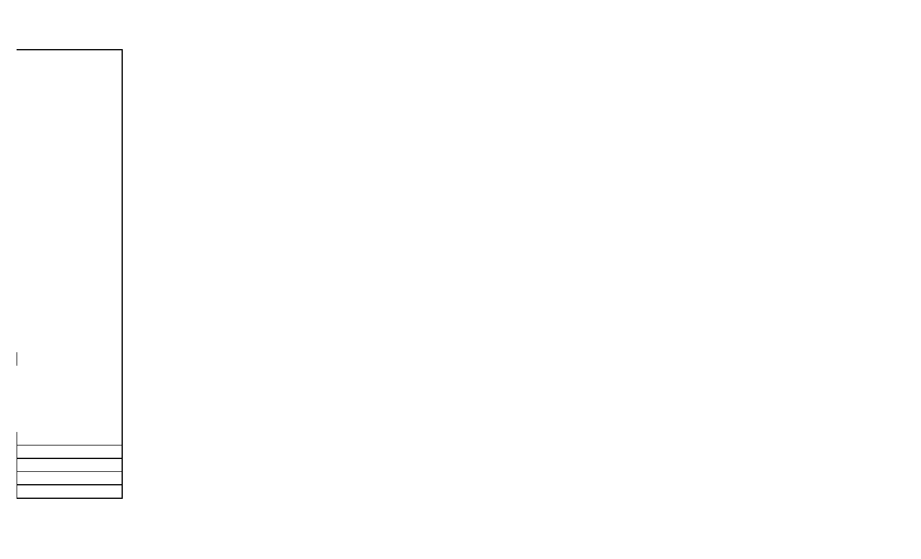